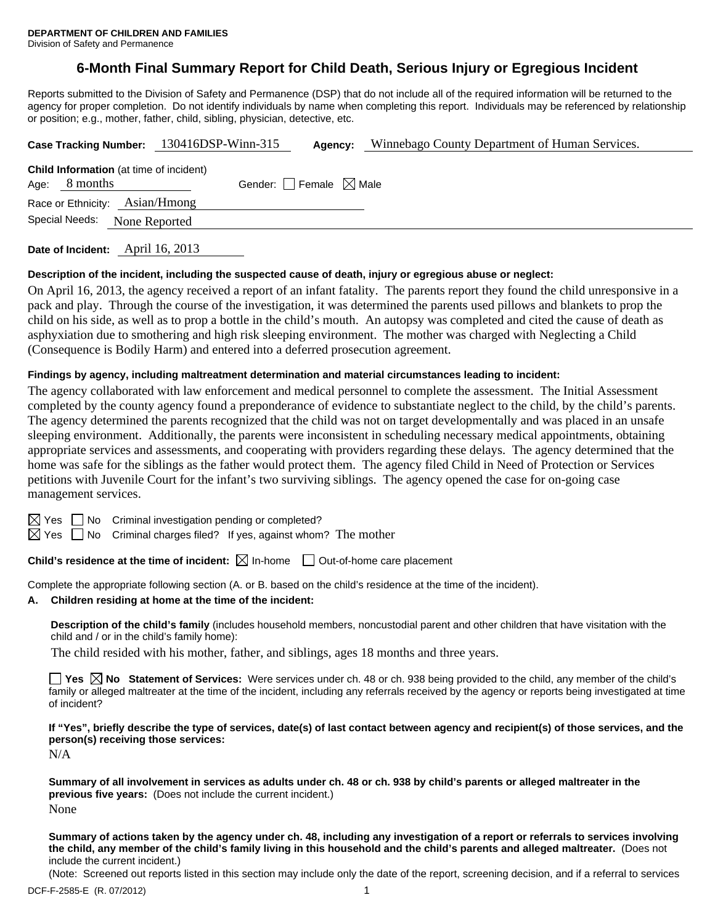# **6-Month Final Summary Report for Child Death, Serious Injury or Egregious Incident**

Reports submitted to the Division of Safety and Permanence (DSP) that do not include all of the required information will be returned to the agency for proper completion. Do not identify individuals by name when completing this report. Individuals may be referenced by relationship or position; e.g., mother, father, child, sibling, physician, detective, etc.

| Case Tracking Number: 130416DSP-Winn-315                          |                                                            |  | Agency:                         |  | Winnebago County Department of Human Services. |  |  |
|-------------------------------------------------------------------|------------------------------------------------------------|--|---------------------------------|--|------------------------------------------------|--|--|
| Age:                                                              | <b>Child Information</b> (at time of incident)<br>8 months |  | Gender: Female $\boxtimes$ Male |  |                                                |  |  |
| Race or Ethnicity: Asian/Hmong<br>Special Needs:<br>None Reported |                                                            |  |                                 |  |                                                |  |  |
|                                                                   |                                                            |  |                                 |  |                                                |  |  |

**Date of Incident:** April 16, 2013

#### **Description of the incident, including the suspected cause of death, injury or egregious abuse or neglect:**

On April 16, 2013, the agency received a report of an infant fatality. The parents report they found the child unresponsive in a pack and play. Through the course of the investigation, it was determined the parents used pillows and blankets to prop the child on his side, as well as to prop a bottle in the child's mouth. An autopsy was completed and cited the cause of death as asphyxiation due to smothering and high risk sleeping environment. The mother was charged with Neglecting a Child (Consequence is Bodily Harm) and entered into a deferred prosecution agreement.

#### **Findings by agency, including maltreatment determination and material circumstances leading to incident:**

The agency collaborated with law enforcement and medical personnel to complete the assessment. The Initial Assessment completed by the county agency found a preponderance of evidence to substantiate neglect to the child, by the child's parents. The agency determined the parents recognized that the child was not on target developmentally and was placed in an unsafe sleeping environment. Additionally, the parents were inconsistent in scheduling necessary medical appointments, obtaining appropriate services and assessments, and cooperating with providers regarding these delays. The agency determined that the home was safe for the siblings as the father would protect them. The agency filed Child in Need of Protection or Services petitions with Juvenile Court for the infant's two surviving siblings. The agency opened the case for on-going case management services.

 $\boxtimes$  Yes  $\Box$  No Criminal investigation pending or completed?

 $\boxtimes$  Yes  $\Box$  No Criminal charges filed? If yes, against whom? The mother

**Child's residence at the time of incident:**  $\boxtimes$  In-home  $\Box$  Out-of-home care placement

Complete the appropriate following section (A. or B. based on the child's residence at the time of the incident).

#### **A. Children residing at home at the time of the incident:**

**Description of the child's family** (includes household members, noncustodial parent and other children that have visitation with the child and / or in the child's family home):

The child resided with his mother, father, and siblings, ages 18 months and three years.

**Yes No Statement of Services:** Were services under ch. 48 or ch. 938 being provided to the child, any member of the child's family or alleged maltreater at the time of the incident, including any referrals received by the agency or reports being investigated at time of incident?

**If "Yes", briefly describe the type of services, date(s) of last contact between agency and recipient(s) of those services, and the person(s) receiving those services:** 

N/A

**Summary of all involvement in services as adults under ch. 48 or ch. 938 by child's parents or alleged maltreater in the previous five years:** (Does not include the current incident.) None

**Summary of actions taken by the agency under ch. 48, including any investigation of a report or referrals to services involving the child, any member of the child's family living in this household and the child's parents and alleged maltreater.** (Does not include the current incident.)

(Note: Screened out reports listed in this section may include only the date of the report, screening decision, and if a referral to services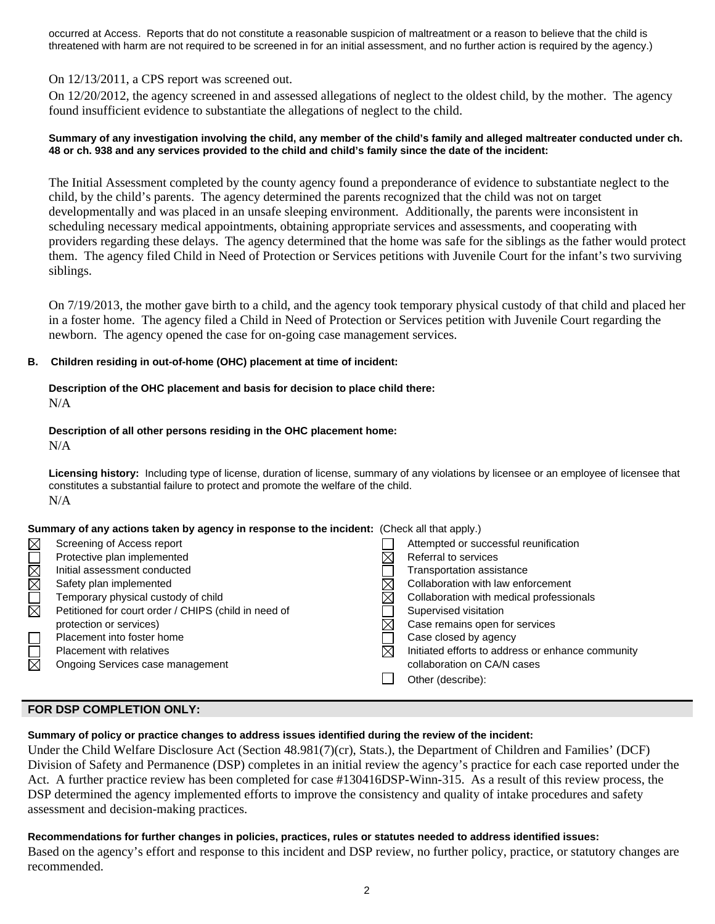occurred at Access. Reports that do not constitute a reasonable suspicion of maltreatment or a reason to believe that the child is threatened with harm are not required to be screened in for an initial assessment, and no further action is required by the agency.)

# On 12/13/2011, a CPS report was screened out.

On 12/20/2012, the agency screened in and assessed allegations of neglect to the oldest child, by the mother. The agency found insufficient evidence to substantiate the allegations of neglect to the child.

#### **Summary of any investigation involving the child, any member of the child's family and alleged maltreater conducted under ch. 48 or ch. 938 and any services provided to the child and child's family since the date of the incident:**

The Initial Assessment completed by the county agency found a preponderance of evidence to substantiate neglect to the child, by the child's parents. The agency determined the parents recognized that the child was not on target developmentally and was placed in an unsafe sleeping environment. Additionally, the parents were inconsistent in scheduling necessary medical appointments, obtaining appropriate services and assessments, and cooperating with providers regarding these delays. The agency determined that the home was safe for the siblings as the father would protect them. The agency filed Child in Need of Protection or Services petitions with Juvenile Court for the infant's two surviving siblings.

On 7/19/2013, the mother gave birth to a child, and the agency took temporary physical custody of that child and placed her in a foster home. The agency filed a Child in Need of Protection or Services petition with Juvenile Court regarding the newborn. The agency opened the case for on-going case management services.

## **B. Children residing in out-of-home (OHC) placement at time of incident:**

# **Description of the OHC placement and basis for decision to place child there:**  N/A

#### **Description of all other persons residing in the OHC placement home:**  N/A

**Licensing history:** Including type of license, duration of license, summary of any violations by licensee or an employee of licensee that constitutes a substantial failure to protect and promote the welfare of the child. N/A

## **Summary of any actions taken by agency in response to the incident:** (Check all that apply.)

| $\boxtimes$ | Screening of Access report                           | Attempted or successful reunification             |
|-------------|------------------------------------------------------|---------------------------------------------------|
|             | Protective plan implemented                          | Referral to services                              |
| NOMMO       | Initial assessment conducted                         | <b>Transportation assistance</b>                  |
|             | Safety plan implemented                              | Collaboration with law enforcement                |
|             | Temporary physical custody of child                  | Collaboration with medical professionals          |
|             | Petitioned for court order / CHIPS (child in need of | Supervised visitation                             |
|             | protection or services)                              | Case remains open for services                    |
| $\Box$      | Placement into foster home                           | Case closed by agency                             |
| $\Box$      | Placement with relatives                             | Initiated efforts to address or enhance community |
|             | Ongoing Services case management                     | collaboration on CA/N cases                       |
|             |                                                      | Other (describe):                                 |
|             |                                                      |                                                   |

# **FOR DSP COMPLETION ONLY:**

## **Summary of policy or practice changes to address issues identified during the review of the incident:**

Under the Child Welfare Disclosure Act (Section 48.981(7)(cr), Stats.), the Department of Children and Families' (DCF) Division of Safety and Permanence (DSP) completes in an initial review the agency's practice for each case reported under the Act. A further practice review has been completed for case #130416DSP-Winn-315. As a result of this review process, the DSP determined the agency implemented efforts to improve the consistency and quality of intake procedures and safety assessment and decision-making practices.

# **Recommendations for further changes in policies, practices, rules or statutes needed to address identified issues:**

Based on the agency's effort and response to this incident and DSP review, no further policy, practice, or statutory changes are recommended.